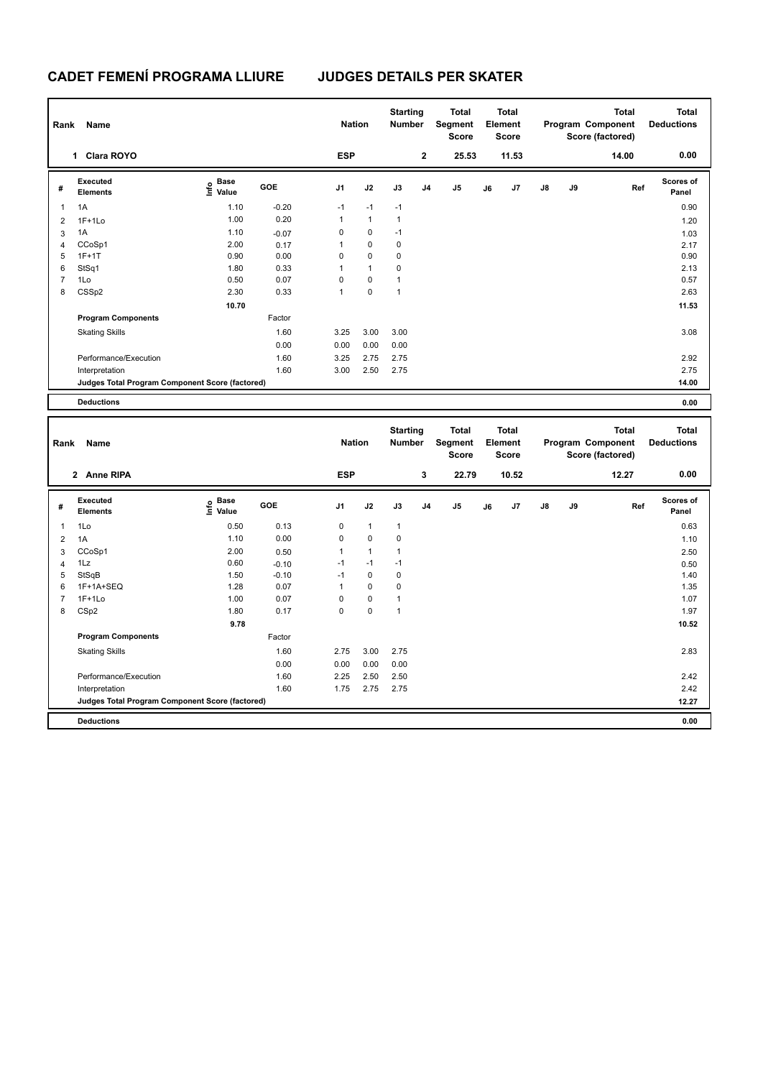| Rank           | Name                                            |                                  |         | <b>Nation</b>  |              | <b>Starting</b><br><b>Number</b> |                | <b>Total</b><br>Segment<br><b>Score</b> |    | <b>Total</b><br>Element<br><b>Score</b> |               |    | <b>Total</b><br>Program Component<br>Score (factored) | <b>Total</b><br><b>Deductions</b> |
|----------------|-------------------------------------------------|----------------------------------|---------|----------------|--------------|----------------------------------|----------------|-----------------------------------------|----|-----------------------------------------|---------------|----|-------------------------------------------------------|-----------------------------------|
|                | <b>Clara ROYO</b><br>1                          |                                  |         | <b>ESP</b>     |              |                                  | $\mathbf{2}$   | 25.53                                   |    | 11.53                                   |               |    | 14.00                                                 | 0.00                              |
| #              | Executed<br><b>Elements</b>                     | <b>Base</b><br>o Base<br>⊆ Value | GOE     | J <sub>1</sub> | J2           | J3                               | J <sub>4</sub> | J5                                      | J6 | J7                                      | $\mathsf{J}8$ | J9 | Ref                                                   | <b>Scores of</b><br>Panel         |
| $\mathbf{1}$   | 1A                                              | 1.10                             | $-0.20$ | $-1$           | $-1$         | $-1$                             |                |                                         |    |                                         |               |    |                                                       | 0.90                              |
| $\overline{2}$ | $1F+1Lo$                                        | 1.00                             | 0.20    | 1              | $\mathbf{1}$ | $\mathbf{1}$                     |                |                                         |    |                                         |               |    |                                                       | 1.20                              |
| 3              | 1A                                              | 1.10                             | $-0.07$ | 0              | 0            | $-1$                             |                |                                         |    |                                         |               |    |                                                       | 1.03                              |
| 4              | CCoSp1                                          | 2.00                             | 0.17    | 1              | 0            | 0                                |                |                                         |    |                                         |               |    |                                                       | 2.17                              |
| 5              | $1F+1T$                                         | 0.90                             | 0.00    | 0              | $\mathbf 0$  | 0                                |                |                                         |    |                                         |               |    |                                                       | 0.90                              |
| 6              | StSq1                                           | 1.80                             | 0.33    | 1              | $\mathbf{1}$ | 0                                |                |                                         |    |                                         |               |    |                                                       | 2.13                              |
| $\overline{7}$ | 1Lo                                             | 0.50                             | 0.07    | 0              | $\pmb{0}$    | 1                                |                |                                         |    |                                         |               |    |                                                       | 0.57                              |
| 8              | CSSp2                                           | 2.30                             | 0.33    | 1              | 0            | 1                                |                |                                         |    |                                         |               |    |                                                       | 2.63                              |
|                |                                                 | 10.70                            |         |                |              |                                  |                |                                         |    |                                         |               |    |                                                       | 11.53                             |
|                | <b>Program Components</b>                       |                                  | Factor  |                |              |                                  |                |                                         |    |                                         |               |    |                                                       |                                   |
|                | <b>Skating Skills</b>                           |                                  | 1.60    | 3.25           | 3.00         | 3.00                             |                |                                         |    |                                         |               |    |                                                       | 3.08                              |
|                |                                                 |                                  | 0.00    | 0.00           | 0.00         | 0.00                             |                |                                         |    |                                         |               |    |                                                       |                                   |
|                | Performance/Execution                           |                                  | 1.60    | 3.25           | 2.75         | 2.75                             |                |                                         |    |                                         |               |    |                                                       | 2.92                              |
|                | Interpretation                                  |                                  | 1.60    | 3.00           | 2.50         | 2.75                             |                |                                         |    |                                         |               |    |                                                       | 2.75                              |
|                | Judges Total Program Component Score (factored) |                                  |         |                |              |                                  |                |                                         |    |                                         |               |    |                                                       | 14.00                             |
|                | <b>Deductions</b>                               |                                  |         |                |              |                                  |                |                                         |    |                                         |               |    |                                                       | 0.00                              |

| Name<br>Rank   |                                                 |                                  |            | <b>Nation</b>  |                | <b>Starting</b><br><b>Number</b> | <b>Total</b><br>Segment<br><b>Score</b> |                | <b>Total</b><br>Element<br><b>Score</b> |       |               | <b>Total</b><br>Program Component<br>Score (factored) | <b>Total</b><br><b>Deductions</b> |                           |
|----------------|-------------------------------------------------|----------------------------------|------------|----------------|----------------|----------------------------------|-----------------------------------------|----------------|-----------------------------------------|-------|---------------|-------------------------------------------------------|-----------------------------------|---------------------------|
|                | 2 Anne RIPA                                     |                                  |            | <b>ESP</b>     |                |                                  | 3                                       | 22.79          |                                         | 10.52 |               |                                                       | 12.27                             | 0.00                      |
| #              | Executed<br><b>Elements</b>                     | <b>Base</b><br>e Base<br>⊆ Value | <b>GOE</b> | J <sub>1</sub> | J2             | J3                               | J <sub>4</sub>                          | J <sub>5</sub> | J6                                      | J7    | $\mathsf{J}8$ | J9                                                    | Ref                               | <b>Scores of</b><br>Panel |
| $\mathbf{1}$   | 1Lo                                             | 0.50                             | 0.13       | 0              | $\mathbf{1}$   | $\mathbf{1}$                     |                                         |                |                                         |       |               |                                                       |                                   | 0.63                      |
| 2              | 1A                                              | 1.10                             | 0.00       | 0              | $\mathbf 0$    | $\pmb{0}$                        |                                         |                |                                         |       |               |                                                       |                                   | 1.10                      |
| 3              | CCoSp1                                          | 2.00                             | 0.50       | $\mathbf{1}$   | $\overline{1}$ | $\mathbf 1$                      |                                         |                |                                         |       |               |                                                       |                                   | 2.50                      |
| $\overline{4}$ | 1Lz                                             | 0.60                             | $-0.10$    | $-1$           | $-1$           | $-1$                             |                                         |                |                                         |       |               |                                                       |                                   | 0.50                      |
| 5              | StSqB                                           | 1.50                             | $-0.10$    | -1             | $\mathbf 0$    | 0                                |                                         |                |                                         |       |               |                                                       |                                   | 1.40                      |
| 6              | 1F+1A+SEQ                                       | 1.28                             | 0.07       | 1              | $\mathbf 0$    | 0                                |                                         |                |                                         |       |               |                                                       |                                   | 1.35                      |
| $\overline{7}$ | $1F+1Lo$                                        | 1.00                             | 0.07       | 0              | $\mathbf 0$    | $\overline{1}$                   |                                         |                |                                         |       |               |                                                       |                                   | 1.07                      |
| 8              | CSp2                                            | 1.80                             | 0.17       | 0              | $\mathbf 0$    | $\mathbf{1}$                     |                                         |                |                                         |       |               |                                                       |                                   | 1.97                      |
|                |                                                 | 9.78                             |            |                |                |                                  |                                         |                |                                         |       |               |                                                       |                                   | 10.52                     |
|                | <b>Program Components</b>                       |                                  | Factor     |                |                |                                  |                                         |                |                                         |       |               |                                                       |                                   |                           |
|                | <b>Skating Skills</b>                           |                                  | 1.60       | 2.75           | 3.00           | 2.75                             |                                         |                |                                         |       |               |                                                       |                                   | 2.83                      |
|                |                                                 |                                  | 0.00       | 0.00           | 0.00           | 0.00                             |                                         |                |                                         |       |               |                                                       |                                   |                           |
|                | Performance/Execution                           |                                  | 1.60       | 2.25           | 2.50           | 2.50                             |                                         |                |                                         |       |               |                                                       |                                   | 2.42                      |
|                | Interpretation                                  |                                  | 1.60       | 1.75           | 2.75           | 2.75                             |                                         |                |                                         |       |               |                                                       |                                   | 2.42                      |
|                | Judges Total Program Component Score (factored) |                                  |            |                |                |                                  |                                         |                |                                         |       |               |                                                       |                                   | 12.27                     |
|                | <b>Deductions</b>                               |                                  |            |                |                |                                  |                                         |                |                                         |       |               |                                                       |                                   | 0.00                      |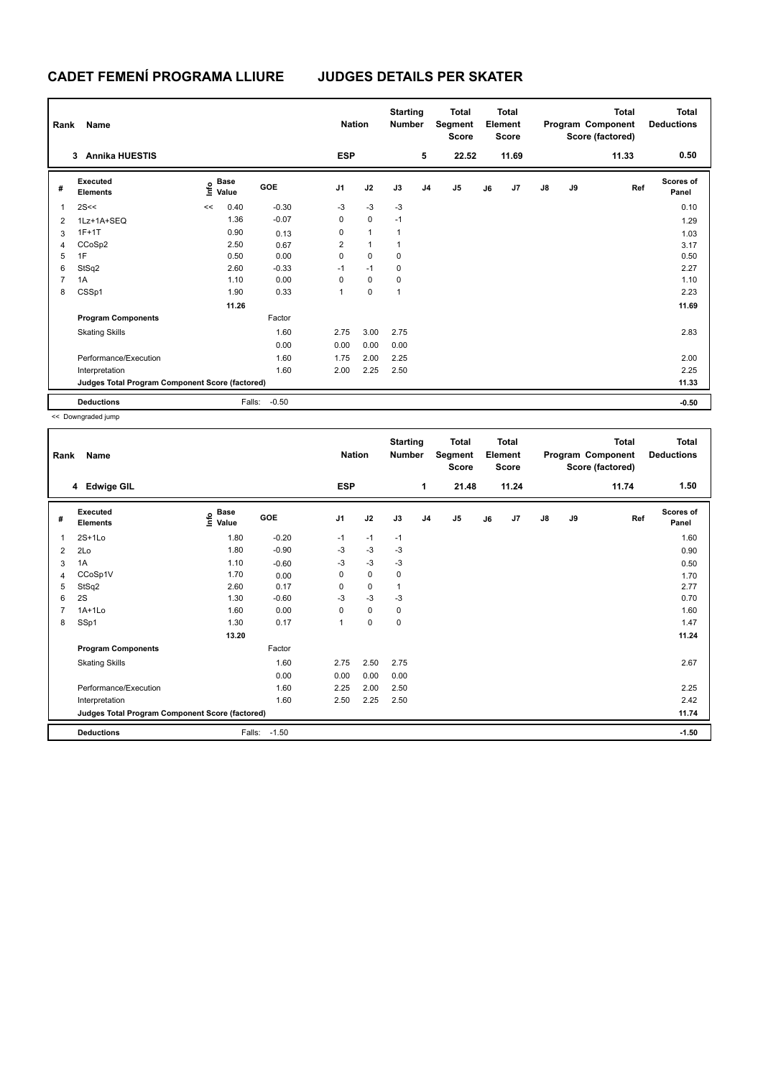| Rank | Name                                            |              |        |         | <b>Nation</b>  |              | <b>Starting</b><br><b>Number</b> | <b>Total</b><br><b>Total</b><br>Element<br>Segment<br><b>Score</b> |                | Score |       |               | <b>Total</b><br>Program Component<br>Score (factored) | <b>Total</b><br><b>Deductions</b> |                           |
|------|-------------------------------------------------|--------------|--------|---------|----------------|--------------|----------------------------------|--------------------------------------------------------------------|----------------|-------|-------|---------------|-------------------------------------------------------|-----------------------------------|---------------------------|
|      | <b>Annika HUESTIS</b><br>3                      |              |        |         | <b>ESP</b>     |              |                                  | 5                                                                  | 22.52          |       | 11.69 |               |                                                       | 11.33                             | 0.50                      |
| #    | Executed<br><b>Elements</b>                     | Base<br>Info | Value  | GOE     | J <sub>1</sub> | J2           | J3                               | J <sub>4</sub>                                                     | J <sub>5</sub> | J6    | J7    | $\mathsf{J}8$ | J9                                                    | Ref                               | <b>Scores of</b><br>Panel |
| 1    | 2S<<                                            | <<           | 0.40   | $-0.30$ | $-3$           | $-3$         | $-3$                             |                                                                    |                |       |       |               |                                                       |                                   | 0.10                      |
| 2    | 1Lz+1A+SEQ                                      |              | 1.36   | $-0.07$ | $\mathbf 0$    | $\mathbf 0$  | $-1$                             |                                                                    |                |       |       |               |                                                       |                                   | 1.29                      |
| 3    | $1F+1T$                                         |              | 0.90   | 0.13    | 0              | $\mathbf{1}$ | $\overline{1}$                   |                                                                    |                |       |       |               |                                                       |                                   | 1.03                      |
| 4    | CCoSp2                                          |              | 2.50   | 0.67    | 2              | $\mathbf{1}$ | 1                                |                                                                    |                |       |       |               |                                                       |                                   | 3.17                      |
| 5    | 1F                                              |              | 0.50   | 0.00    | 0              | $\mathbf 0$  | 0                                |                                                                    |                |       |       |               |                                                       |                                   | 0.50                      |
| 6    | StSq2                                           |              | 2.60   | $-0.33$ | $-1$           | $-1$         | 0                                |                                                                    |                |       |       |               |                                                       |                                   | 2.27                      |
| 7    | 1A                                              |              | 1.10   | 0.00    | 0              | $\mathbf 0$  | 0                                |                                                                    |                |       |       |               |                                                       |                                   | 1.10                      |
| 8    | CSSp1                                           |              | 1.90   | 0.33    | 1              | $\mathbf 0$  | 1                                |                                                                    |                |       |       |               |                                                       |                                   | 2.23                      |
|      |                                                 |              | 11.26  |         |                |              |                                  |                                                                    |                |       |       |               |                                                       |                                   | 11.69                     |
|      | <b>Program Components</b>                       |              |        | Factor  |                |              |                                  |                                                                    |                |       |       |               |                                                       |                                   |                           |
|      | <b>Skating Skills</b>                           |              |        | 1.60    | 2.75           | 3.00         | 2.75                             |                                                                    |                |       |       |               |                                                       |                                   | 2.83                      |
|      |                                                 |              |        | 0.00    | 0.00           | 0.00         | 0.00                             |                                                                    |                |       |       |               |                                                       |                                   |                           |
|      | Performance/Execution                           |              |        | 1.60    | 1.75           | 2.00         | 2.25                             |                                                                    |                |       |       |               |                                                       |                                   | 2.00                      |
|      | Interpretation                                  |              |        | 1.60    | 2.00           | 2.25         | 2.50                             |                                                                    |                |       |       |               |                                                       |                                   | 2.25                      |
|      | Judges Total Program Component Score (factored) |              |        |         |                |              |                                  |                                                                    |                |       |       |               |                                                       |                                   | 11.33                     |
|      | <b>Deductions</b>                               |              | Falls: | $-0.50$ |                |              |                                  |                                                                    |                |       |       |               |                                                       |                                   | $-0.50$                   |

<< Downgraded jump

| Rank           | Name                                            |                                           |         | <b>Nation</b>  |             | <b>Starting</b><br><b>Number</b> |                | <b>Total</b><br>Segment<br><b>Score</b> |    | <b>Total</b><br>Element<br><b>Score</b> |               |    | <b>Total</b><br>Program Component<br>Score (factored) | <b>Total</b><br><b>Deductions</b> |
|----------------|-------------------------------------------------|-------------------------------------------|---------|----------------|-------------|----------------------------------|----------------|-----------------------------------------|----|-----------------------------------------|---------------|----|-------------------------------------------------------|-----------------------------------|
|                | 4 Edwige GIL                                    |                                           |         | <b>ESP</b>     |             |                                  | 1              | 21.48                                   |    | 11.24                                   |               |    | 11.74                                                 | 1.50                              |
| #              | Executed<br><b>Elements</b>                     | $\frac{6}{5}$ Base<br>$\frac{1}{5}$ Value | GOE     | J <sub>1</sub> | J2          | J3                               | J <sub>4</sub> | J5                                      | J6 | J7                                      | $\mathsf{J}8$ | J9 | Ref                                                   | Scores of<br>Panel                |
| 1              | $2S+1L0$                                        | 1.80                                      | $-0.20$ | $-1$           | $-1$        | $-1$                             |                |                                         |    |                                         |               |    |                                                       | 1.60                              |
| 2              | 2Lo                                             | 1.80                                      | $-0.90$ | -3             | $-3$        | $-3$                             |                |                                         |    |                                         |               |    |                                                       | 0.90                              |
| 3              | 1A                                              | 1.10                                      | $-0.60$ | $-3$           | $-3$        | $-3$                             |                |                                         |    |                                         |               |    |                                                       | 0.50                              |
| 4              | CCoSp1V                                         | 1.70                                      | 0.00    | 0              | $\mathbf 0$ | 0                                |                |                                         |    |                                         |               |    |                                                       | 1.70                              |
| 5              | StSq2                                           | 2.60                                      | 0.17    | 0              | 0           | $\mathbf{1}$                     |                |                                         |    |                                         |               |    |                                                       | 2.77                              |
| 6              | 2S                                              | 1.30                                      | $-0.60$ | $-3$           | $-3$        | $-3$                             |                |                                         |    |                                         |               |    |                                                       | 0.70                              |
| $\overline{7}$ | $1A+1Lo$                                        | 1.60                                      | 0.00    | 0              | $\mathbf 0$ | $\mathbf 0$                      |                |                                         |    |                                         |               |    |                                                       | 1.60                              |
| 8              | SSp1                                            | 1.30                                      | 0.17    | 1              | $\pmb{0}$   | 0                                |                |                                         |    |                                         |               |    |                                                       | 1.47                              |
|                |                                                 | 13.20                                     |         |                |             |                                  |                |                                         |    |                                         |               |    |                                                       | 11.24                             |
|                | <b>Program Components</b>                       |                                           | Factor  |                |             |                                  |                |                                         |    |                                         |               |    |                                                       |                                   |
|                | <b>Skating Skills</b>                           |                                           | 1.60    | 2.75           | 2.50        | 2.75                             |                |                                         |    |                                         |               |    |                                                       | 2.67                              |
|                |                                                 |                                           | 0.00    | 0.00           | 0.00        | 0.00                             |                |                                         |    |                                         |               |    |                                                       |                                   |
|                | Performance/Execution                           |                                           | 1.60    | 2.25           | 2.00        | 2.50                             |                |                                         |    |                                         |               |    |                                                       | 2.25                              |
|                | Interpretation                                  |                                           | 1.60    | 2.50           | 2.25        | 2.50                             |                |                                         |    |                                         |               |    |                                                       | 2.42                              |
|                | Judges Total Program Component Score (factored) |                                           |         |                |             |                                  |                |                                         |    |                                         |               |    |                                                       | 11.74                             |
|                | <b>Deductions</b>                               | Falls:                                    | $-1.50$ |                |             |                                  |                |                                         |    |                                         |               |    |                                                       | $-1.50$                           |